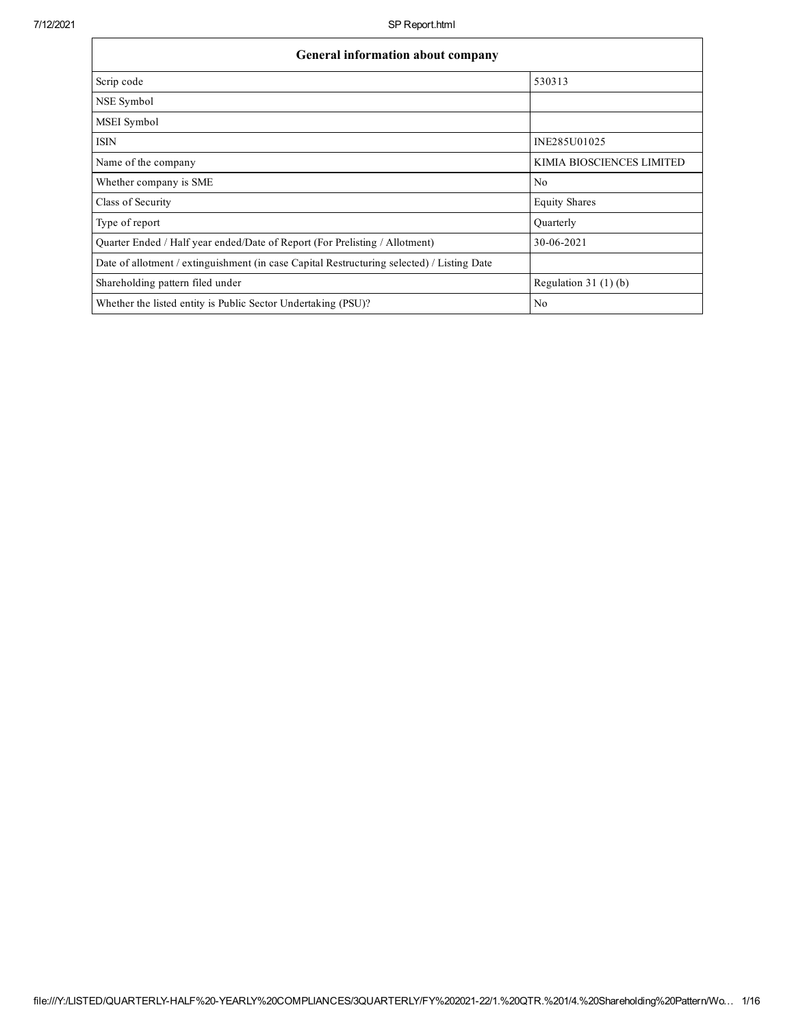$\mathbf{r}$ 

٦

| <b>General information about company</b>                                                   |                           |
|--------------------------------------------------------------------------------------------|---------------------------|
| Scrip code                                                                                 | 530313                    |
| NSE Symbol                                                                                 |                           |
| MSEI Symbol                                                                                |                           |
| <b>ISIN</b>                                                                                | INE285U01025              |
| Name of the company                                                                        | KIMIA BIOSCIENCES LIMITED |
| Whether company is SME                                                                     | No                        |
| Class of Security                                                                          | <b>Equity Shares</b>      |
| Type of report                                                                             | Quarterly                 |
| Ouarter Ended / Half year ended/Date of Report (For Prelisting / Allotment)                | 30-06-2021                |
| Date of allotment / extinguishment (in case Capital Restructuring selected) / Listing Date |                           |
| Shareholding pattern filed under                                                           | Regulation $31(1)(b)$     |
| Whether the listed entity is Public Sector Undertaking (PSU)?                              | No                        |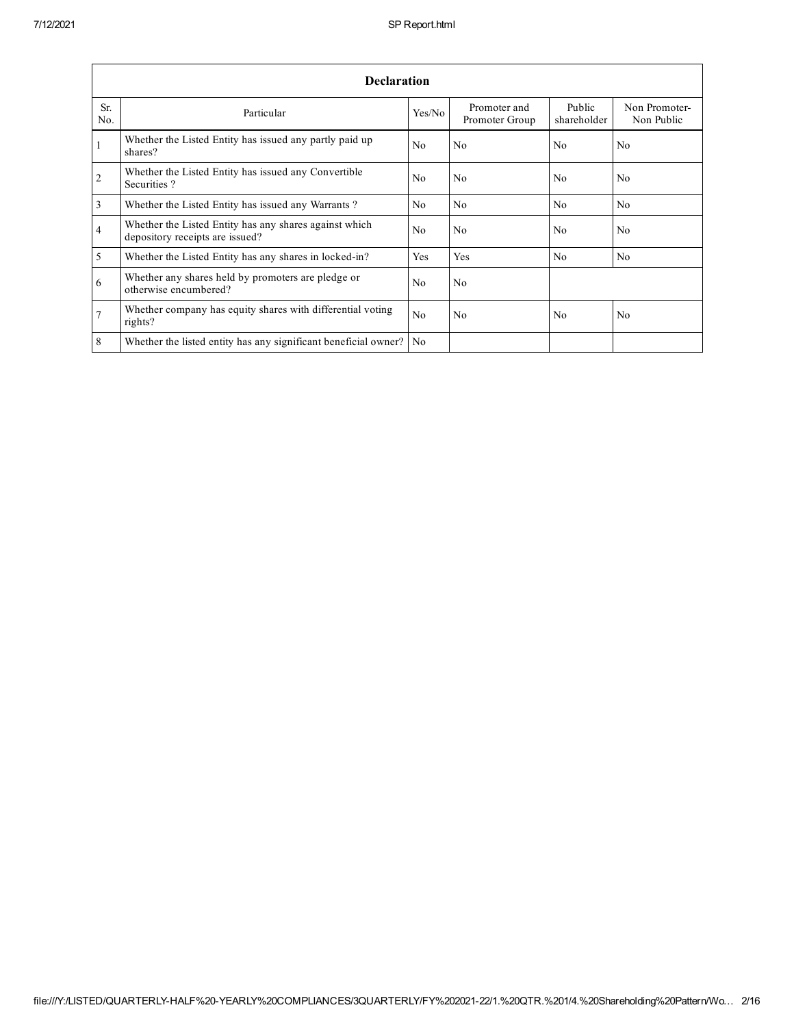|                 | <b>Declaration</b>                                                                        |                |                                |                       |                             |  |  |  |  |
|-----------------|-------------------------------------------------------------------------------------------|----------------|--------------------------------|-----------------------|-----------------------------|--|--|--|--|
| Sr.<br>No.      | Particular                                                                                | Yes/No         | Promoter and<br>Promoter Group | Public<br>shareholder | Non Promoter-<br>Non Public |  |  |  |  |
| $\mathbf{1}$    | Whether the Listed Entity has issued any partly paid up<br>shares?                        | N <sub>0</sub> | No.                            | N <sub>0</sub>        | No.                         |  |  |  |  |
| $\overline{2}$  | Whether the Listed Entity has issued any Convertible<br>Securities?                       | N <sub>0</sub> | No                             | N <sub>0</sub>        | No.                         |  |  |  |  |
| $\overline{3}$  | Whether the Listed Entity has issued any Warrants?                                        | N <sub>0</sub> | N <sub>0</sub>                 | N <sub>0</sub>        | N <sub>0</sub>              |  |  |  |  |
| $\overline{4}$  | Whether the Listed Entity has any shares against which<br>depository receipts are issued? | N <sub>0</sub> | No                             | N <sub>0</sub>        | No.                         |  |  |  |  |
| $\overline{5}$  | Whether the Listed Entity has any shares in locked-in?                                    | Yes            | Yes                            | N <sub>0</sub>        | N <sub>0</sub>              |  |  |  |  |
| 6               | Whether any shares held by promoters are pledge or<br>otherwise encumbered?               | No             | No.                            |                       |                             |  |  |  |  |
| $7\phantom{.0}$ | Whether company has equity shares with differential voting<br>rights?                     | N <sub>0</sub> | No.                            | N <sub>0</sub>        | No.                         |  |  |  |  |
| $\overline{8}$  | Whether the listed entity has any significant beneficial owner?                           | N <sub>o</sub> |                                |                       |                             |  |  |  |  |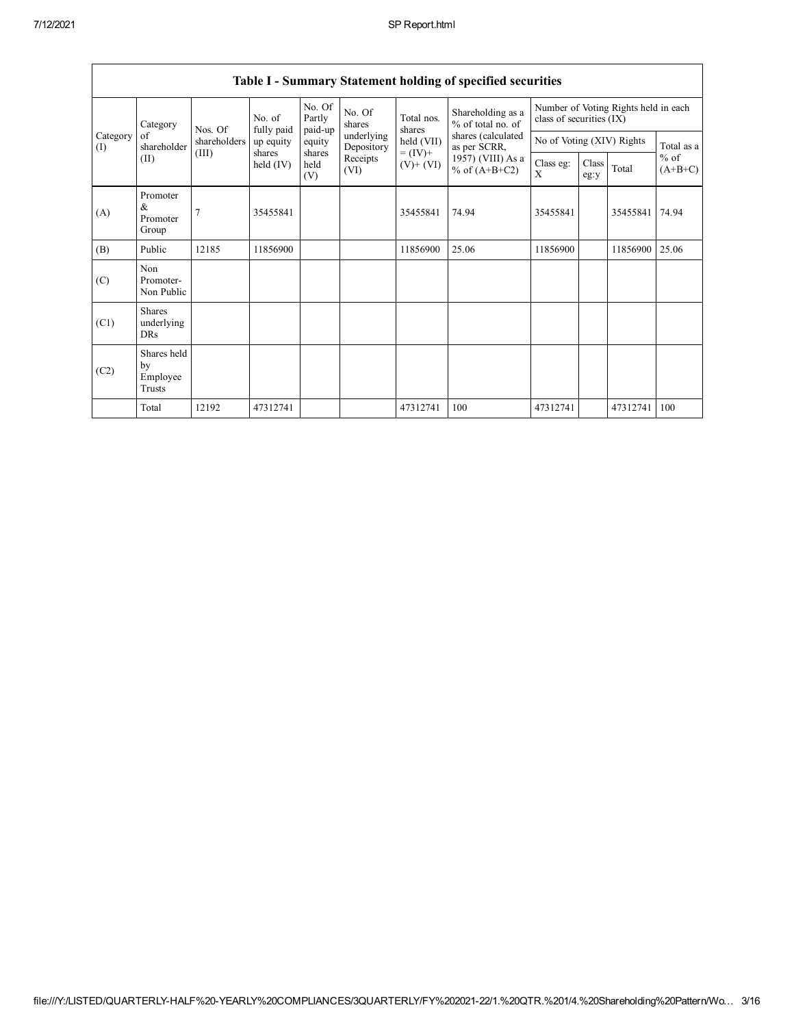|                 |                                           |              |                      | $v$ <i>ummur</i> ,    |                          |                              | statement norame of specified securities                                                                             |                                                                  |               |          |                     |
|-----------------|-------------------------------------------|--------------|----------------------|-----------------------|--------------------------|------------------------------|----------------------------------------------------------------------------------------------------------------------|------------------------------------------------------------------|---------------|----------|---------------------|
|                 | Category                                  | Nos. Of      | No. of<br>fully paid | No. Of<br>Partly      | No. Of<br>shares         | Total nos.<br>shares         | Shareholding as a<br>% of total no. of<br>shares (calculated<br>as per SCRR,<br>1957) (VIII) As a<br>% of $(A+B+C2)$ | Number of Voting Rights held in each<br>class of securities (IX) |               |          |                     |
| Category<br>(I) | of<br>shareholder                         | shareholders | up equity            | paid-up<br>equity     | underlying<br>Depository | held (VII)                   |                                                                                                                      | No of Voting (XIV) Rights                                        |               |          | Total as a          |
|                 | (II)                                      | (III)        | shares<br>held (IV)  | shares<br>held<br>(V) | Receipts<br>(VI)         | $= (IV) +$<br>$(V)$ + $(VI)$ |                                                                                                                      | Class eg:<br>X                                                   | Class<br>eg:y | Total    | $%$ of<br>$(A+B+C)$ |
| (A)             | Promoter<br>$\&$<br>Promoter<br>Group     |              | 35455841             |                       |                          | 35455841                     | 74.94                                                                                                                | 35455841                                                         |               | 35455841 | 74.94               |
| (B)             | Public                                    | 12185        | 11856900             |                       |                          | 11856900                     | 25.06                                                                                                                | 11856900                                                         |               | 11856900 | 25.06               |
| (C)             | Non<br>Promoter-<br>Non Public            |              |                      |                       |                          |                              |                                                                                                                      |                                                                  |               |          |                     |
| (C1)            | <b>Shares</b><br>underlying<br><b>DRs</b> |              |                      |                       |                          |                              |                                                                                                                      |                                                                  |               |          |                     |
| (C2)            | Shares held<br>by<br>Employee<br>Trusts   |              |                      |                       |                          |                              |                                                                                                                      |                                                                  |               |          |                     |
|                 | Total                                     | 12192        | 47312741             |                       |                          | 47312741                     | 100                                                                                                                  | 47312741                                                         |               | 47312741 | 100                 |

## Table I - Summary Statement holding of specified securities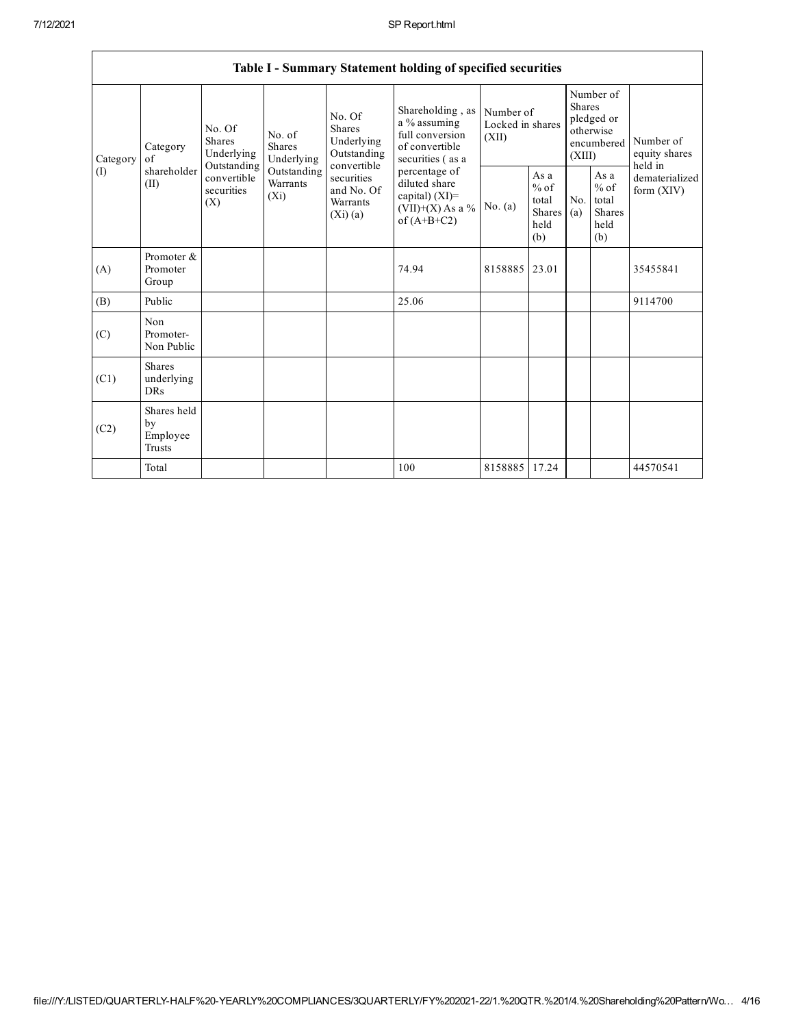٦

|                                           |                                           |                                                                                                 |                                       |                                                                                                                                               | Table I - Summary Statement holding of specified securities                               |                                        |                                                                               |            |                                                                         |                                                  |
|-------------------------------------------|-------------------------------------------|-------------------------------------------------------------------------------------------------|---------------------------------------|-----------------------------------------------------------------------------------------------------------------------------------------------|-------------------------------------------------------------------------------------------|----------------------------------------|-------------------------------------------------------------------------------|------------|-------------------------------------------------------------------------|--------------------------------------------------|
| Category<br>Category<br>of<br>(I)<br>(II) |                                           | No. Of<br><b>Shares</b><br>Underlying                                                           | No. of<br><b>Shares</b><br>Underlying | No. Of<br><b>Shares</b><br>Underlying<br>Outstanding<br>convertible                                                                           | Shareholding, as<br>a % assuming<br>full conversion<br>of convertible<br>securities (as a | Number of<br>Locked in shares<br>(XII) | Number of<br><b>Shares</b><br>pledged or<br>otherwise<br>encumbered<br>(XIII) |            | Number of<br>equity shares<br>held in<br>dematerialized<br>form $(XIV)$ |                                                  |
|                                           | shareholder                               | Outstanding<br>Outstanding<br>convertible<br>Warrants<br>securities<br>(X <sub>i</sub> )<br>(X) |                                       | percentage of<br>securities<br>diluted share<br>and No. Of<br>capital) $(XI)$ =<br>Warrants<br>$(VII)+(X)$ As a %<br>(Xi)(a)<br>of $(A+B+C2)$ |                                                                                           | No. $(a)$                              | As a<br>$%$ of<br>total<br><b>Shares</b><br>held<br>(b)                       | No.<br>(a) |                                                                         | As a<br>$%$ of<br>total<br>Shares<br>held<br>(b) |
| (A)                                       | Promoter &<br>Promoter<br>Group           |                                                                                                 |                                       |                                                                                                                                               | 74.94                                                                                     | 8158885                                | 23.01                                                                         |            |                                                                         | 35455841                                         |
| (B)                                       | Public                                    |                                                                                                 |                                       |                                                                                                                                               | 25.06                                                                                     |                                        |                                                                               |            |                                                                         | 9114700                                          |
| (C)                                       | Non<br>Promoter-<br>Non Public            |                                                                                                 |                                       |                                                                                                                                               |                                                                                           |                                        |                                                                               |            |                                                                         |                                                  |
| (C1)                                      | <b>Shares</b><br>underlying<br><b>DRs</b> |                                                                                                 |                                       |                                                                                                                                               |                                                                                           |                                        |                                                                               |            |                                                                         |                                                  |
| (C2)                                      | Shares held<br>by<br>Employee<br>Trusts   |                                                                                                 |                                       |                                                                                                                                               |                                                                                           |                                        |                                                                               |            |                                                                         |                                                  |
|                                           | Total                                     |                                                                                                 |                                       |                                                                                                                                               | 100                                                                                       | 8158885 17.24                          |                                                                               |            |                                                                         | 44570541                                         |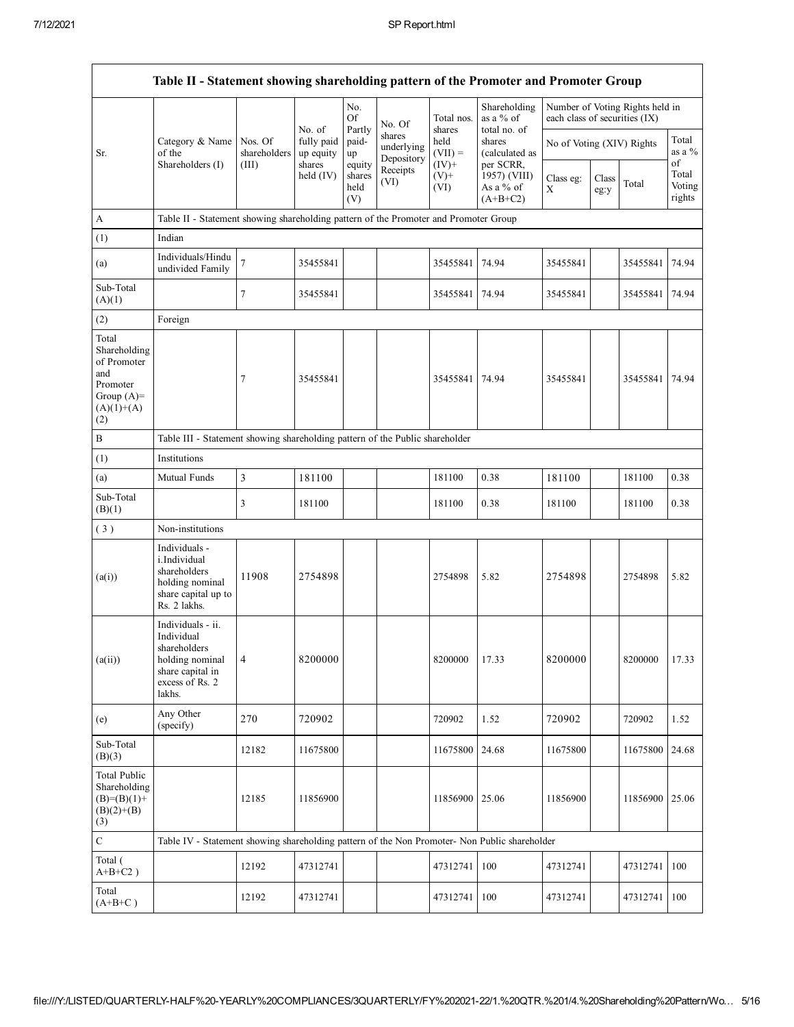|                                                                                                | Table II - Statement showing shareholding pattern of the Promoter and Promoter Group                                |                |                         |                                 |                                    |                            |                                                      |                               |               |                                 |                           |
|------------------------------------------------------------------------------------------------|---------------------------------------------------------------------------------------------------------------------|----------------|-------------------------|---------------------------------|------------------------------------|----------------------------|------------------------------------------------------|-------------------------------|---------------|---------------------------------|---------------------------|
|                                                                                                |                                                                                                                     |                | No. of                  | No.<br>Of                       | No. Of                             | Total nos.<br>shares       | Shareholding<br>as a % of<br>total no. of            | each class of securities (IX) |               | Number of Voting Rights held in |                           |
| Sr.                                                                                            | Category & Name Nos. Of<br>of the                                                                                   | shareholders   | fully paid<br>up equity | Partly<br>paid-<br>up           | shares<br>underlying<br>Depository | held<br>$(VII) =$          | shares<br>(calculated as                             | No of Voting (XIV) Rights     |               |                                 | Total<br>as a $%$<br>οf   |
|                                                                                                | Shareholders (I)                                                                                                    | (III)          | shares<br>held $(IV)$   | equity<br>shares<br>held<br>(V) | Receipts<br>(VI)                   | $(IV)+$<br>$(V)$ +<br>(VI) | per SCRR,<br>1957) (VIII)<br>As a % of<br>$(A+B+C2)$ | Class eg:<br>X                | Class<br>eg:y | Total                           | Total<br>Voting<br>rights |
| A                                                                                              | Table II - Statement showing shareholding pattern of the Promoter and Promoter Group                                |                |                         |                                 |                                    |                            |                                                      |                               |               |                                 |                           |
| (1)                                                                                            | Indian                                                                                                              |                |                         |                                 |                                    |                            |                                                      |                               |               |                                 |                           |
| (a)                                                                                            | Individuals/Hindu<br>undivided Family                                                                               | 7              | 35455841                |                                 |                                    | 35455841                   | 74.94                                                | 35455841                      |               | 35455841                        | 74.94                     |
| Sub-Total<br>(A)(1)                                                                            |                                                                                                                     | 7              | 35455841                |                                 |                                    | 35455841                   | 74.94                                                | 35455841                      |               | 35455841                        | 74.94                     |
| (2)                                                                                            | Foreign                                                                                                             |                |                         |                                 |                                    |                            |                                                      |                               |               |                                 |                           |
| Total<br>Shareholding<br>of Promoter<br>and<br>Promoter<br>Group $(A)=$<br>$(A)(1)+(A)$<br>(2) |                                                                                                                     | 7              | 35455841                |                                 |                                    | 35455841                   | 74.94                                                | 35455841                      |               | 35455841                        | 74.94                     |
| В                                                                                              | Table III - Statement showing shareholding pattern of the Public shareholder                                        |                |                         |                                 |                                    |                            |                                                      |                               |               |                                 |                           |
| (1)                                                                                            | Institutions                                                                                                        |                |                         |                                 |                                    |                            |                                                      |                               |               |                                 |                           |
| (a)                                                                                            | Mutual Funds                                                                                                        | 3              | 181100                  |                                 |                                    | 181100                     | 0.38                                                 | 181100                        |               | 181100                          | 0.38                      |
| Sub-Total<br>(B)(1)                                                                            |                                                                                                                     | 3              | 181100                  |                                 |                                    | 181100                     | 0.38                                                 | 181100                        |               | 181100                          | 0.38                      |
| (3)                                                                                            | Non-institutions                                                                                                    |                |                         |                                 |                                    |                            |                                                      |                               |               |                                 |                           |
| (a(i))                                                                                         | Individuals -<br>i.Individual<br>shareholders<br>holding nominal<br>share capital up to<br>Rs. 2 lakhs.             | 11908          | 2754898                 |                                 |                                    | 2754898                    | 5.82                                                 | 2754898                       |               | 2754898                         | 5.82                      |
| (a(ii))                                                                                        | Individuals - ii.<br>Individual<br>shareholders<br>holding nominal<br>share capital in<br>excess of Rs. 2<br>lakhs. | $\overline{4}$ | 8200000                 |                                 |                                    | 8200000                    | 17.33                                                | 8200000                       |               | 8200000                         | 17.33                     |
| (e)                                                                                            | Any Other<br>(specify)                                                                                              | 270            | 720902                  |                                 |                                    | 720902                     | 1.52                                                 | 720902                        |               | 720902                          | 1.52                      |
| Sub-Total<br>(B)(3)                                                                            |                                                                                                                     | 12182          | 11675800                |                                 |                                    | 11675800                   | 24.68                                                | 11675800                      |               | 11675800                        | 24.68                     |
| <b>Total Public</b><br>Shareholding<br>$(B)=(B)(1)+$<br>$(B)(2)+(B)$<br>(3)                    |                                                                                                                     | 12185          | 11856900                |                                 |                                    | 11856900                   | 25.06                                                | 11856900                      |               | 11856900                        | 25.06                     |
| $\mathbf C$                                                                                    | Table IV - Statement showing shareholding pattern of the Non Promoter- Non Public shareholder                       |                |                         |                                 |                                    |                            |                                                      |                               |               |                                 |                           |
| Total (<br>$A+B+C2$ )                                                                          |                                                                                                                     | 12192          | 47312741                |                                 |                                    | 47312741                   | 100                                                  | 47312741                      |               | 47312741                        | 100                       |
| Total<br>$(A+B+C)$                                                                             |                                                                                                                     | 12192          | 47312741                |                                 |                                    | 47312741                   | 100                                                  | 47312741                      |               | 47312741                        | 100                       |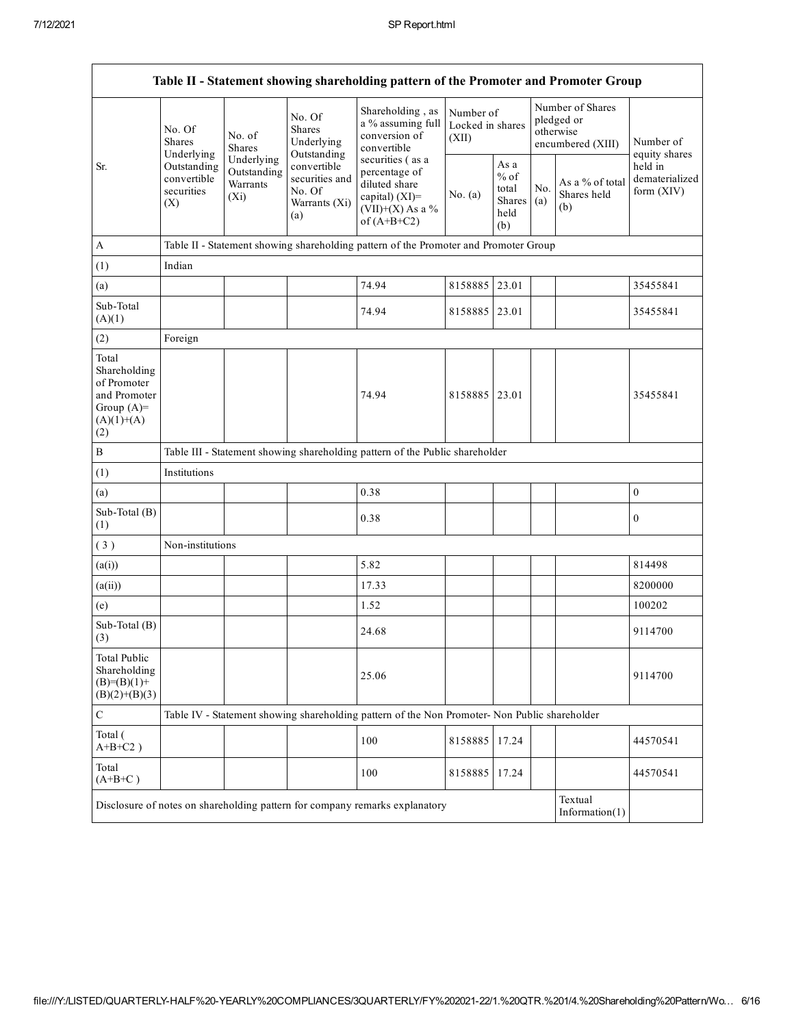|                                                                                             |                                                 |                                                  |                                                                 | Table II - Statement showing shareholding pattern of the Promoter and Promoter Group                           |               |                                                  |            |                                                                  |                                         |
|---------------------------------------------------------------------------------------------|-------------------------------------------------|--------------------------------------------------|-----------------------------------------------------------------|----------------------------------------------------------------------------------------------------------------|---------------|--------------------------------------------------|------------|------------------------------------------------------------------|-----------------------------------------|
|                                                                                             | No. Of<br><b>Shares</b><br>Underlying           | No. of<br><b>Shares</b>                          | No. Of<br><b>Shares</b><br>Underlying<br>Outstanding            | Shareholding, as<br>a % assuming full<br>conversion of<br>convertible                                          | (XII)         | Number of<br>Locked in shares                    |            | Number of Shares<br>pledged or<br>otherwise<br>encumbered (XIII) | Number of<br>equity shares              |
| Sr.                                                                                         | Outstanding<br>convertible<br>securities<br>(X) | Underlying<br>Outstanding<br>Warrants<br>$(X_i)$ | convertible<br>securities and<br>No. Of<br>Warrants (Xi)<br>(a) | securities (as a<br>percentage of<br>diluted share<br>capital) $(XI)$ =<br>$(VII)+(X)$ As a %<br>of $(A+B+C2)$ | No. (a)       | As a<br>$%$ of<br>total<br>Shares<br>held<br>(b) | No.<br>(a) | As a % of total<br>Shares held<br>(b)                            | held in<br>dematerialized<br>form (XIV) |
| $\boldsymbol{A}$                                                                            |                                                 |                                                  |                                                                 | Table II - Statement showing shareholding pattern of the Promoter and Promoter Group                           |               |                                                  |            |                                                                  |                                         |
| (1)                                                                                         | Indian                                          |                                                  |                                                                 |                                                                                                                |               |                                                  |            |                                                                  |                                         |
| (a)                                                                                         |                                                 |                                                  |                                                                 | 74.94                                                                                                          | 8158885 23.01 |                                                  |            |                                                                  | 35455841                                |
| Sub-Total<br>(A)(1)                                                                         |                                                 |                                                  |                                                                 | 74.94                                                                                                          | 8158885       | 23.01                                            |            |                                                                  | 35455841                                |
| (2)                                                                                         | Foreign                                         |                                                  |                                                                 |                                                                                                                |               |                                                  |            |                                                                  |                                         |
| Total<br>Shareholding<br>of Promoter<br>and Promoter<br>Group $(A)=$<br>$(A)(1)+(A)$<br>(2) |                                                 |                                                  |                                                                 | 74.94                                                                                                          | 8158885       | 23.01                                            |            |                                                                  | 35455841                                |
| $\, {\bf B}$                                                                                |                                                 |                                                  |                                                                 | Table III - Statement showing shareholding pattern of the Public shareholder                                   |               |                                                  |            |                                                                  |                                         |
| (1)                                                                                         | Institutions                                    |                                                  |                                                                 |                                                                                                                |               |                                                  |            |                                                                  |                                         |
| (a)                                                                                         |                                                 |                                                  |                                                                 | 0.38                                                                                                           |               |                                                  |            |                                                                  | $\boldsymbol{0}$                        |
| Sub-Total (B)<br>(1)                                                                        |                                                 |                                                  |                                                                 | 0.38                                                                                                           |               |                                                  |            |                                                                  | $\boldsymbol{0}$                        |
| (3)                                                                                         | Non-institutions                                |                                                  |                                                                 |                                                                                                                |               |                                                  |            |                                                                  |                                         |
| (a(i))                                                                                      |                                                 |                                                  |                                                                 | 5.82                                                                                                           |               |                                                  |            |                                                                  | 814498                                  |
| (a(ii))                                                                                     |                                                 |                                                  |                                                                 | 17.33                                                                                                          |               |                                                  |            |                                                                  | 8200000                                 |
| (e)                                                                                         |                                                 |                                                  |                                                                 | 1.52                                                                                                           |               |                                                  |            |                                                                  | 100202                                  |
| Sub-Total (B)<br>(3)                                                                        |                                                 |                                                  |                                                                 | 24.68                                                                                                          |               |                                                  |            |                                                                  | 9114700                                 |
| <b>Total Public</b><br>Shareholding<br>$(B)= (B)(1) +$<br>$(B)(2)+(B)(3)$                   |                                                 |                                                  |                                                                 | 25.06                                                                                                          |               |                                                  |            |                                                                  | 9114700                                 |
| ${\bf C}$                                                                                   |                                                 |                                                  |                                                                 | Table IV - Statement showing shareholding pattern of the Non Promoter- Non Public shareholder                  |               |                                                  |            |                                                                  |                                         |
| Total (<br>$A+B+C2$ )                                                                       |                                                 |                                                  |                                                                 | 100                                                                                                            | 8158885       | 17.24                                            |            |                                                                  | 44570541                                |
| Total<br>$(A+B+C)$                                                                          |                                                 |                                                  |                                                                 | 100                                                                                                            | 8158885       | 17.24                                            |            |                                                                  | 44570541                                |
|                                                                                             |                                                 |                                                  |                                                                 | Disclosure of notes on shareholding pattern for company remarks explanatory                                    |               |                                                  |            | Textual<br>Information $(1)$                                     |                                         |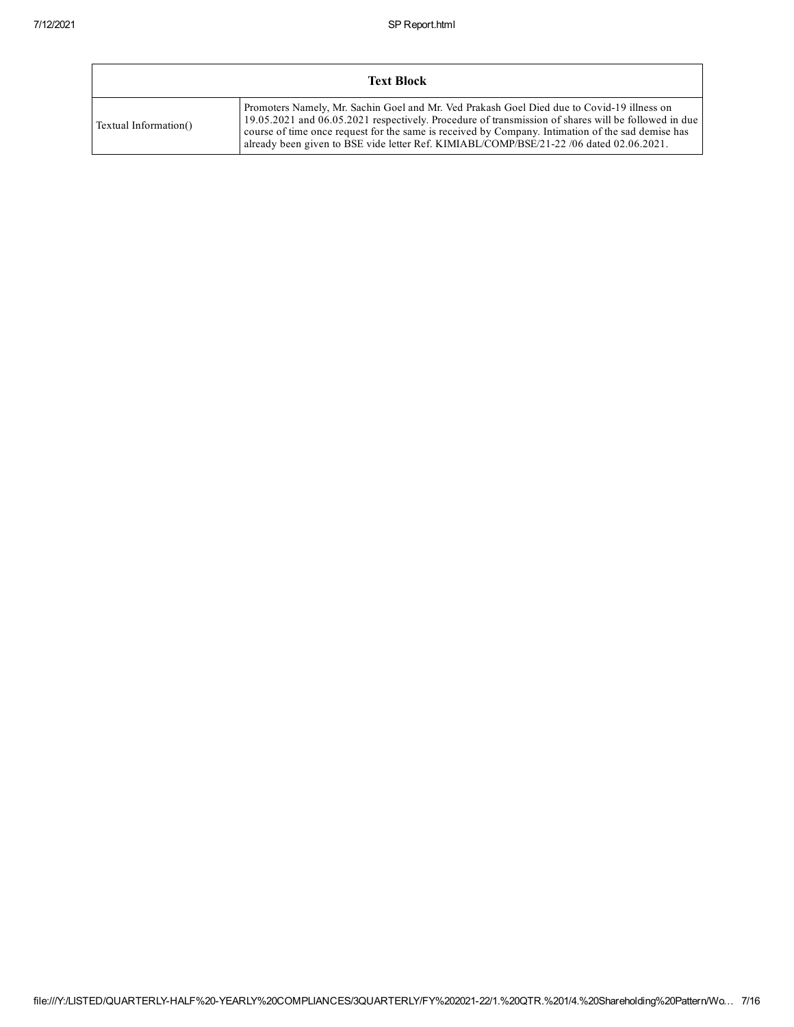|                       | <b>Text Block</b>                                                                                                                                                                                                                                                                                                                                                                                 |
|-----------------------|---------------------------------------------------------------------------------------------------------------------------------------------------------------------------------------------------------------------------------------------------------------------------------------------------------------------------------------------------------------------------------------------------|
| Textual Information() | Promoters Namely, Mr. Sachin Goel and Mr. Ved Prakash Goel Died due to Covid-19 illness on<br>19.05.2021 and 06.05.2021 respectively. Procedure of transmission of shares will be followed in due<br>course of time once request for the same is received by Company. Intimation of the sad demise has<br>already been given to BSE vide letter Ref. KIMIABL/COMP/BSE/21-22 /06 dated 02.06.2021. |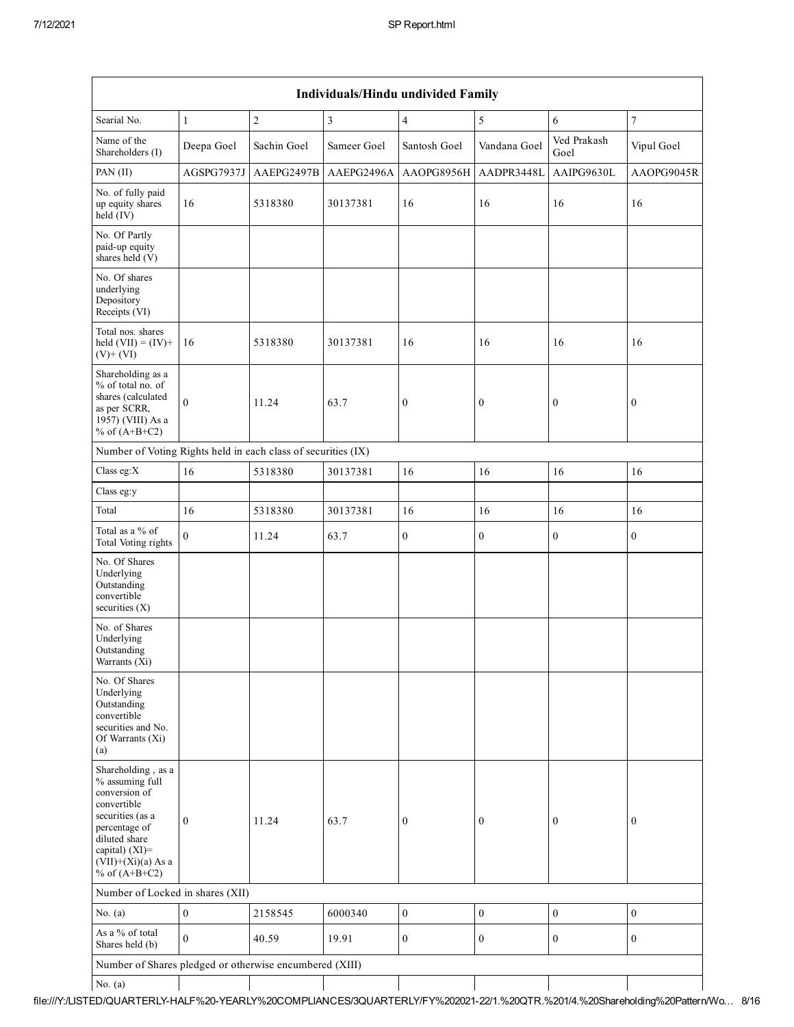|                                                                                                                                                                                          | Individuals/Hindu undivided Family |             |                         |                  |                  |                     |                  |  |  |  |
|------------------------------------------------------------------------------------------------------------------------------------------------------------------------------------------|------------------------------------|-------------|-------------------------|------------------|------------------|---------------------|------------------|--|--|--|
| Searial No.                                                                                                                                                                              | $1\,$                              | $\sqrt{2}$  | $\overline{\mathbf{3}}$ | $\overline{4}$   | 5                | 6                   | $\sqrt{ }$       |  |  |  |
| Name of the<br>Shareholders (I)                                                                                                                                                          | Deepa Goel                         | Sachin Goel | Sameer Goel             | Santosh Goel     | Vandana Goel     | Ved Prakash<br>Goel | Vipul Goel       |  |  |  |
| PAN (II)                                                                                                                                                                                 | AGSPG7937J                         | AAEPG2497B  | AAEPG2496A              | AAOPG8956H       | AADPR3448L       | AAIPG9630L          | AAOPG9045R       |  |  |  |
| No. of fully paid<br>up equity shares<br>held $(IV)$                                                                                                                                     | 16                                 | 5318380     | 30137381                | 16               | 16               | 16                  | 16               |  |  |  |
| No. Of Partly<br>paid-up equity<br>shares held (V)                                                                                                                                       |                                    |             |                         |                  |                  |                     |                  |  |  |  |
| No. Of shares<br>underlying<br>Depository<br>Receipts (VI)                                                                                                                               |                                    |             |                         |                  |                  |                     |                  |  |  |  |
| Total nos. shares<br>held $(VII) = (IV) +$<br>$(V)+(VI)$                                                                                                                                 | 16                                 | 5318380     | 30137381                | 16               | 16               | 16                  | 16               |  |  |  |
| Shareholding as a<br>% of total no. of<br>shares (calculated<br>as per SCRR,<br>1957) (VIII) As a<br>% of $(A+B+C2)$                                                                     | $\theta$                           | 11.24       | 63.7                    | $\boldsymbol{0}$ | $\boldsymbol{0}$ | $\boldsymbol{0}$    | $\bf{0}$         |  |  |  |
| Number of Voting Rights held in each class of securities (IX)                                                                                                                            |                                    |             |                         |                  |                  |                     |                  |  |  |  |
| Class eg:X                                                                                                                                                                               | 16                                 | 5318380     | 30137381                | 16               | 16               | 16                  | 16               |  |  |  |
| Class eg:y                                                                                                                                                                               |                                    |             |                         |                  |                  |                     |                  |  |  |  |
| Total                                                                                                                                                                                    | 16                                 | 5318380     | 30137381                | 16               | 16               | 16                  | 16               |  |  |  |
| Total as a % of<br>Total Voting rights                                                                                                                                                   | $\theta$                           | 11.24       | 63.7                    | $\boldsymbol{0}$ | $\boldsymbol{0}$ | $\boldsymbol{0}$    | $\boldsymbol{0}$ |  |  |  |
| No. Of Shares<br>Underlying<br>Outstanding<br>convertible<br>securities $(X)$                                                                                                            |                                    |             |                         |                  |                  |                     |                  |  |  |  |
| No. of Shares<br>Underlying<br>Outstanding<br>Warrants (Xi)                                                                                                                              |                                    |             |                         |                  |                  |                     |                  |  |  |  |
| No. Of Shares<br>Underlying<br>Outstanding<br>convertible<br>securities and No.<br>Of Warrants (Xi)<br>(a)                                                                               |                                    |             |                         |                  |                  |                     |                  |  |  |  |
| Shareholding, as a<br>% assuming full<br>conversion of<br>convertible<br>securities (as a<br>percentage of<br>diluted share<br>capital) (XI)=<br>$(VII)+(Xi)(a)$ As a<br>% of $(A+B+C2)$ | $\mathbf{0}$                       | 11.24       | 63.7                    | $\boldsymbol{0}$ | $\boldsymbol{0}$ | $\boldsymbol{0}$    | $\bf{0}$         |  |  |  |
| Number of Locked in shares (XII)                                                                                                                                                         |                                    |             |                         |                  |                  |                     |                  |  |  |  |
| No. $(a)$                                                                                                                                                                                | $\boldsymbol{0}$                   | 2158545     | 6000340                 | $\boldsymbol{0}$ | $\boldsymbol{0}$ | $\boldsymbol{0}$    | $\boldsymbol{0}$ |  |  |  |
| As a % of total<br>Shares held (b)                                                                                                                                                       | $\boldsymbol{0}$                   | 40.59       | 19.91                   | $\mathbf{0}$     | $\boldsymbol{0}$ | $\boldsymbol{0}$    | $\boldsymbol{0}$ |  |  |  |
| Number of Shares pledged or otherwise encumbered (XIII)                                                                                                                                  |                                    |             |                         |                  |                  |                     |                  |  |  |  |
| No. $(a)$                                                                                                                                                                                |                                    |             |                         |                  |                  |                     |                  |  |  |  |

file:///Y:/LISTED/QUARTERLYHALF%20YEARLY%20COMPLIANCES/3QUARTERLY/FY%20202122/1.%20QTR.%201/4.%20Shareholding%20Pattern/Wo… 8/16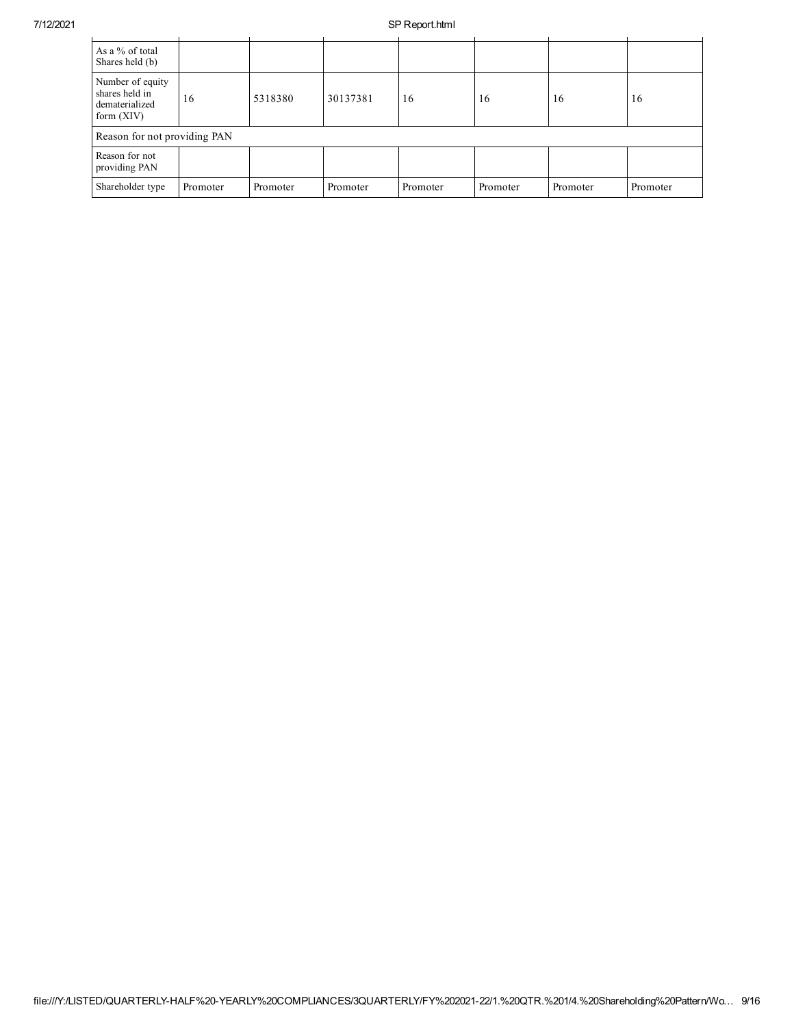## 7/12/2021 SP Report.html

| As a % of total<br>Shares held (b)                                   |          |          |          |          |          |          |          |
|----------------------------------------------------------------------|----------|----------|----------|----------|----------|----------|----------|
| Number of equity<br>shares held in<br>dematerialized<br>form $(XIV)$ | 16       | 5318380  | 30137381 | 16       | 16       | 16       | 16       |
| Reason for not providing PAN                                         |          |          |          |          |          |          |          |
| Reason for not<br>providing PAN                                      |          |          |          |          |          |          |          |
| Shareholder type                                                     | Promoter | Promoter | Promoter | Promoter | Promoter | Promoter | Promoter |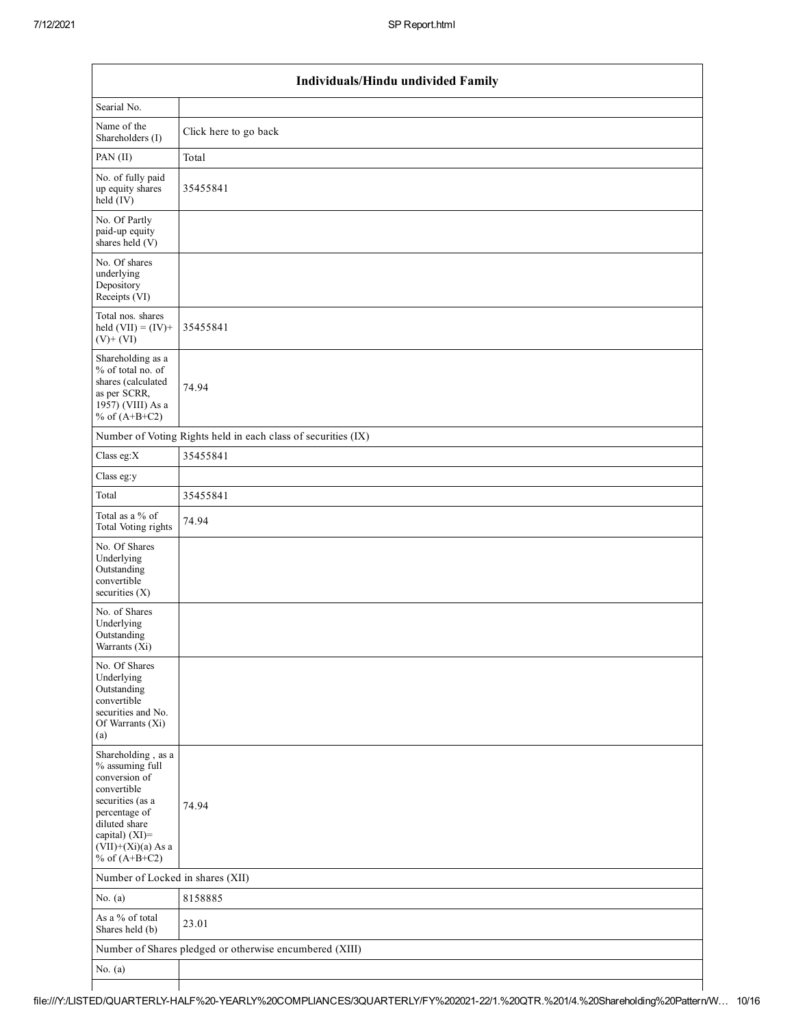|                                                                                                                                                                                          | Individuals/Hindu undivided Family                            |
|------------------------------------------------------------------------------------------------------------------------------------------------------------------------------------------|---------------------------------------------------------------|
| Searial No.                                                                                                                                                                              |                                                               |
| Name of the<br>Shareholders (I)                                                                                                                                                          | Click here to go back                                         |
| PAN (II)                                                                                                                                                                                 | Total                                                         |
| No. of fully paid<br>up equity shares<br>$\text{held}(\text{IV})$                                                                                                                        | 35455841                                                      |
| No. Of Partly<br>paid-up equity<br>shares held (V)                                                                                                                                       |                                                               |
| No. Of shares<br>underlying<br>Depository<br>Receipts (VI)                                                                                                                               |                                                               |
| Total nos. shares<br>held $(VII) = (IV) +$<br>$(V)$ + $(VI)$                                                                                                                             | 35455841                                                      |
| Shareholding as a<br>% of total no. of<br>shares (calculated<br>as per SCRR,<br>$1957)$ (VIII) As a<br>% of $(A+B+C2)$                                                                   | 74.94                                                         |
|                                                                                                                                                                                          | Number of Voting Rights held in each class of securities (IX) |
| Class eg: $X$                                                                                                                                                                            | 35455841                                                      |
| Class eg:y                                                                                                                                                                               |                                                               |
| Total                                                                                                                                                                                    | 35455841                                                      |
| Total as a % of<br>Total Voting rights                                                                                                                                                   | 74.94                                                         |
| No. Of Shares<br>Underlying<br>Outstanding<br>convertible<br>securities $(X)$                                                                                                            |                                                               |
| No. of Shares<br>Underlying<br>Outstanding<br>Warrants (X1)                                                                                                                              |                                                               |
| No. Of Shares<br>Underlying<br>Outstanding<br>convertible<br>securities and No.<br>Of Warrants (Xi)<br>(a)                                                                               |                                                               |
| Shareholding, as a<br>% assuming full<br>conversion of<br>convertible<br>securities (as a<br>percentage of<br>diluted share<br>capital) (XI)=<br>$(VII)+(Xi)(a)$ As a<br>% of $(A+B+C2)$ | 74.94                                                         |
| Number of Locked in shares (XII)                                                                                                                                                         |                                                               |
| No. $(a)$                                                                                                                                                                                | 8158885                                                       |
| As a % of total<br>Shares held (b)                                                                                                                                                       | 23.01                                                         |
|                                                                                                                                                                                          | Number of Shares pledged or otherwise encumbered (XIII)       |
| No. $(a)$                                                                                                                                                                                |                                                               |
|                                                                                                                                                                                          |                                                               |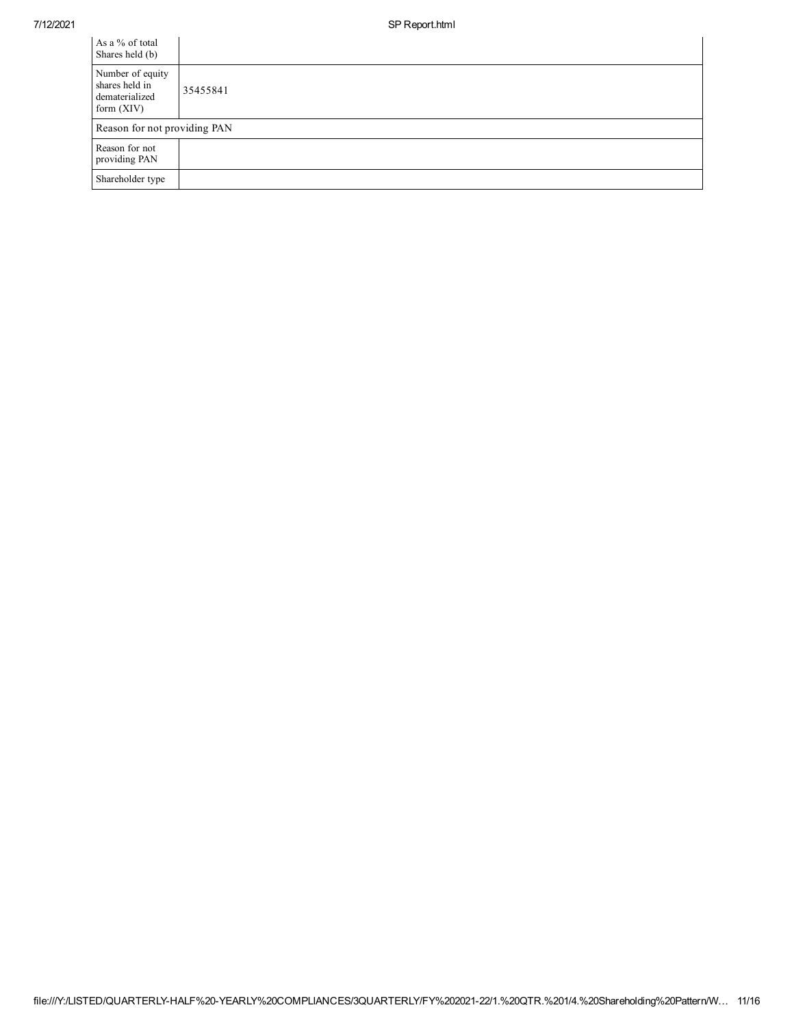$\overline{a}$ 

| As a % of total<br>Shares held (b)                                   |          |
|----------------------------------------------------------------------|----------|
| Number of equity<br>shares held in<br>dematerialized<br>form $(XIV)$ | 35455841 |
| Reason for not providing PAN                                         |          |
| Reason for not<br>providing PAN                                      |          |
| Shareholder type                                                     |          |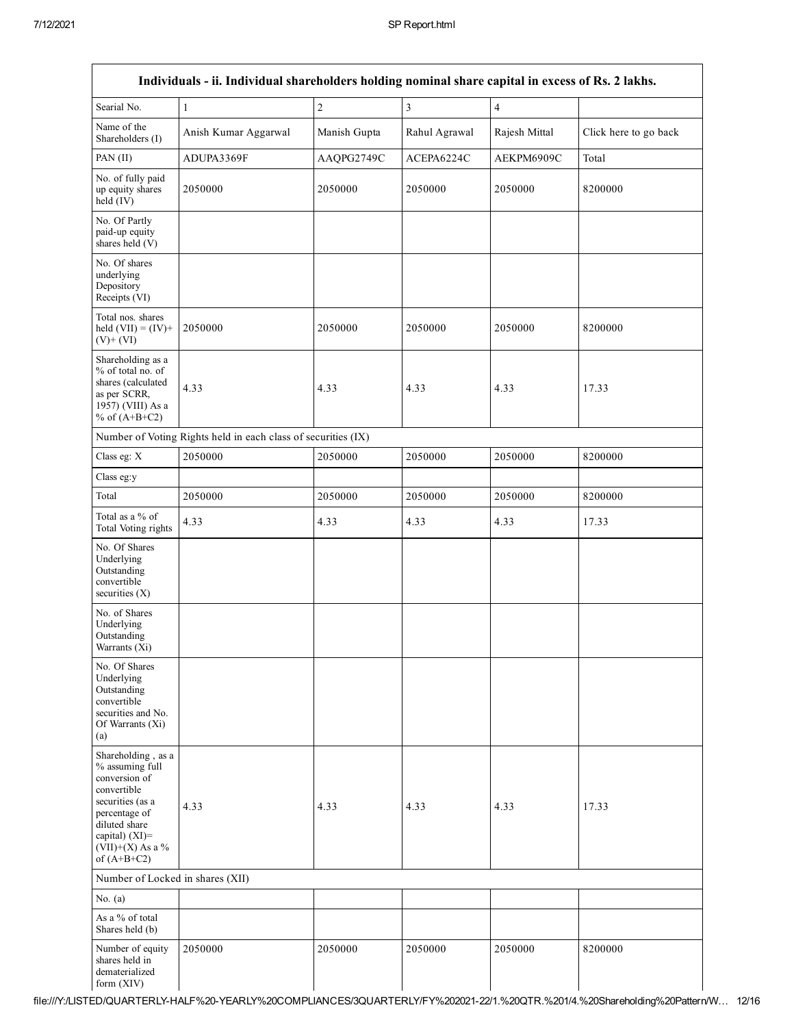|                                                                                                                                                                                      | Individuals - ii. Individual shareholders holding nominal share capital in excess of Rs. 2 lakhs. |              |                |                |                       |
|--------------------------------------------------------------------------------------------------------------------------------------------------------------------------------------|---------------------------------------------------------------------------------------------------|--------------|----------------|----------------|-----------------------|
| Searial No.                                                                                                                                                                          | $\mathbf{1}$                                                                                      | $\sqrt{2}$   | $\overline{3}$ | $\overline{4}$ |                       |
| Name of the<br>Shareholders (I)                                                                                                                                                      | Anish Kumar Aggarwal                                                                              | Manish Gupta | Rahul Agrawal  | Rajesh Mittal  | Click here to go back |
| PAN (II)                                                                                                                                                                             | ADUPA3369F                                                                                        | AAQPG2749C   | ACEPA6224C     | AEKPM6909C     | Total                 |
| No. of fully paid<br>up equity shares<br>held (IV)                                                                                                                                   | 2050000                                                                                           | 2050000      | 2050000        | 2050000        | 8200000               |
| No. Of Partly<br>paid-up equity<br>shares held (V)                                                                                                                                   |                                                                                                   |              |                |                |                       |
| No. Of shares<br>underlying<br>Depository<br>Receipts (VI)                                                                                                                           |                                                                                                   |              |                |                |                       |
| Total nos. shares<br>held $(VII) = (IV) +$<br>$(V)+(VI)$                                                                                                                             | 2050000                                                                                           | 2050000      | 2050000        | 2050000        | 8200000               |
| Shareholding as a<br>% of total no. of<br>shares (calculated<br>as per SCRR,<br>1957) (VIII) As a<br>% of $(A+B+C2)$                                                                 | 4.33                                                                                              | 4.33         | 4.33           | 4.33           | 17.33                 |
|                                                                                                                                                                                      | Number of Voting Rights held in each class of securities (IX)                                     |              |                |                |                       |
| Class eg: X                                                                                                                                                                          | 2050000                                                                                           | 2050000      | 2050000        | 2050000        | 8200000               |
| Class eg:y                                                                                                                                                                           |                                                                                                   |              |                |                |                       |
| Total                                                                                                                                                                                | 2050000                                                                                           | 2050000      | 2050000        | 2050000        | 8200000               |
| Total as a % of<br>Total Voting rights                                                                                                                                               | 4.33                                                                                              | 4.33         | 4.33           | 4.33           | 17.33                 |
| No. Of Shares<br>Underlying<br>Outstanding<br>convertible<br>securities $(X)$                                                                                                        |                                                                                                   |              |                |                |                       |
| No. of Shares<br>Underlying<br>Outstanding<br>Warrants (Xi)                                                                                                                          |                                                                                                   |              |                |                |                       |
| No. Of Shares<br>Underlying<br>Outstanding<br>convertible<br>securities and No.<br>Of Warrants (Xi)<br>(a)                                                                           |                                                                                                   |              |                |                |                       |
| Shareholding, as a<br>% assuming full<br>conversion of<br>convertible<br>securities (as a<br>percentage of<br>diluted share<br>capital) (XI)=<br>$(VII)+(X)$ As a %<br>of $(A+B+C2)$ | 4.33                                                                                              | 4.33         | 4.33           | 4.33           | 17.33                 |
| Number of Locked in shares (XII)                                                                                                                                                     |                                                                                                   |              |                |                |                       |
| No. $(a)$                                                                                                                                                                            |                                                                                                   |              |                |                |                       |
| As a % of total<br>Shares held (b)                                                                                                                                                   |                                                                                                   |              |                |                |                       |
| Number of equity<br>shares held in<br>dematerialized<br>form $(XIV)$                                                                                                                 | 2050000                                                                                           | 2050000      | 2050000        | 2050000        | 8200000               |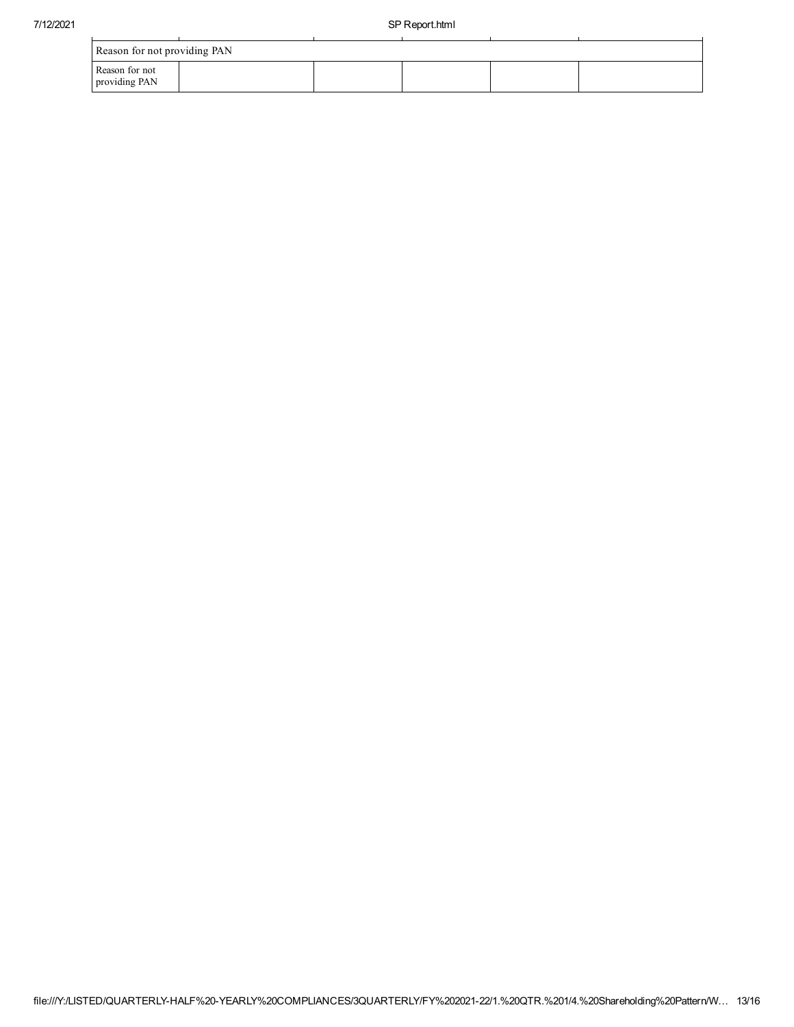| Reason for not providing PAN    |  |  |  |  |  |  |
|---------------------------------|--|--|--|--|--|--|
| Reason for not<br>providing PAN |  |  |  |  |  |  |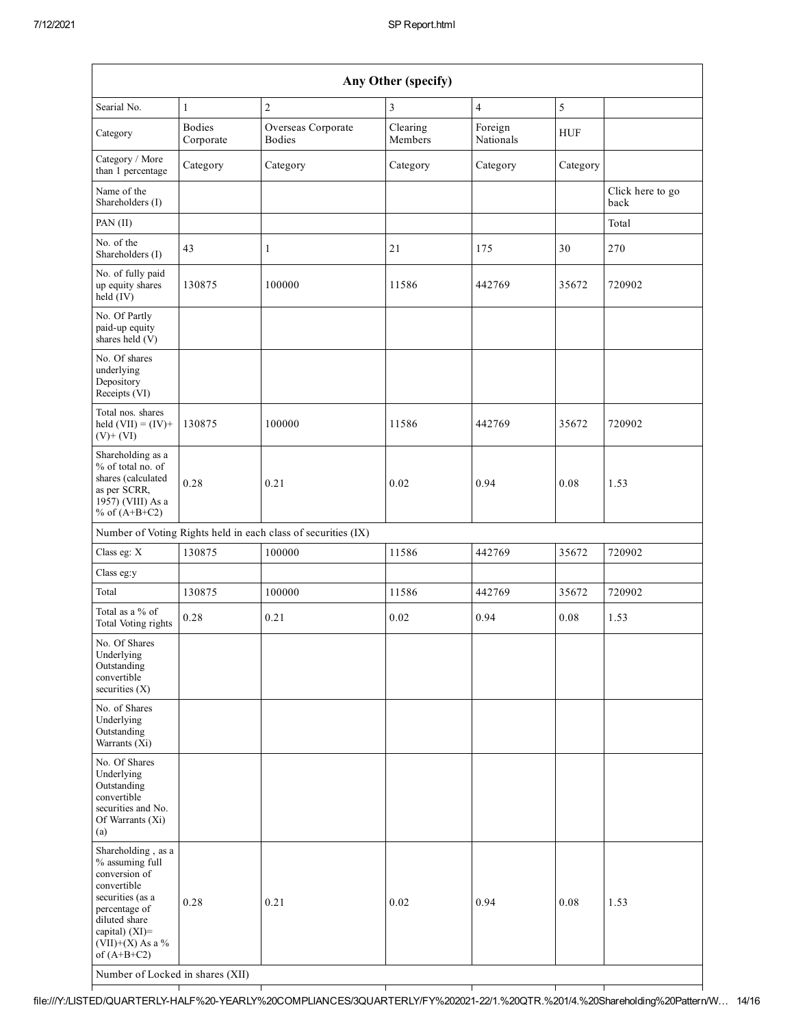$\mathsf{I}$ 

| Any Other (specify)                                                                                                                                                                                                      |                            |                                                               |                     |                      |            |                          |  |
|--------------------------------------------------------------------------------------------------------------------------------------------------------------------------------------------------------------------------|----------------------------|---------------------------------------------------------------|---------------------|----------------------|------------|--------------------------|--|
| Searial No.                                                                                                                                                                                                              | 1                          | $\overline{2}$                                                | 3                   | 4                    | $\sqrt{5}$ |                          |  |
| Category                                                                                                                                                                                                                 | <b>Bodies</b><br>Corporate | Overseas Corporate<br><b>Bodies</b>                           | Clearing<br>Members | Foreign<br>Nationals | <b>HUF</b> |                          |  |
| Category / More<br>than 1 percentage                                                                                                                                                                                     | Category                   | Category                                                      | Category            | Category             | Category   |                          |  |
| Name of the<br>Shareholders (I)                                                                                                                                                                                          |                            |                                                               |                     |                      |            | Click here to go<br>back |  |
| PAN (II)                                                                                                                                                                                                                 |                            |                                                               |                     |                      |            | Total                    |  |
| No. of the<br>Shareholders (I)                                                                                                                                                                                           | 43                         | 1                                                             | 21                  | 175                  | 30         | 270                      |  |
| No. of fully paid<br>up equity shares<br>held (IV)                                                                                                                                                                       | 130875                     | 100000                                                        | 11586               | 442769               | 35672      | 720902                   |  |
| No. Of Partly<br>paid-up equity<br>shares held (V)                                                                                                                                                                       |                            |                                                               |                     |                      |            |                          |  |
| No. Of shares<br>underlying<br>Depository<br>Receipts (VI)                                                                                                                                                               |                            |                                                               |                     |                      |            |                          |  |
| Total nos. shares<br>held $(VII) = (IV) +$<br>$(V)$ + $(VI)$                                                                                                                                                             | 130875                     | 100000                                                        | 11586               | 442769               | 35672      | 720902                   |  |
| Shareholding as a<br>% of total no. of<br>shares (calculated<br>as per SCRR,<br>1957) (VIII) As a<br>% of $(A+B+C2)$                                                                                                     | 0.28                       | 0.21                                                          | 0.02                | 0.94                 | 0.08       | 1.53                     |  |
|                                                                                                                                                                                                                          |                            | Number of Voting Rights held in each class of securities (IX) |                     |                      |            |                          |  |
| Class eg: X                                                                                                                                                                                                              | 130875                     | 100000                                                        | 11586               | 442769               | 35672      | 720902                   |  |
| Class eg:y                                                                                                                                                                                                               |                            |                                                               |                     |                      |            |                          |  |
| Total                                                                                                                                                                                                                    | 130875                     | 100000                                                        | 11586               | 442769               | 35672      | 720902                   |  |
| Total as a % of<br>Total Voting rights                                                                                                                                                                                   | 0.28                       | 0.21                                                          | 0.02                | 0.94                 | 0.08       | 1.53                     |  |
| No. Of Shares<br>Underlying<br>Outstanding<br>convertible<br>securities $(X)$                                                                                                                                            |                            |                                                               |                     |                      |            |                          |  |
| No. of Shares<br>Underlying<br>Outstanding<br>Warrants (Xi)                                                                                                                                                              |                            |                                                               |                     |                      |            |                          |  |
| No. Of Shares<br>Underlying<br>Outstanding<br>convertible<br>securities and No.<br>Of Warrants (Xi)<br>(a)                                                                                                               |                            |                                                               |                     |                      |            |                          |  |
| Shareholding, as a<br>% assuming full<br>conversion of<br>convertible<br>securities (as a<br>percentage of<br>diluted share<br>capital) (XI)=<br>$(VII)+(X)$ As a %<br>of $(A+B+C2)$<br>Number of Locked in shares (XII) | 0.28                       | 0.21                                                          | 0.02                | 0.94                 | 0.08       | 1.53                     |  |

file:///Y:/LISTED/QUARTERLY-HALF%20-YEARLY%20COMPLIANCES/3QUARTERLY/FY%202021-22/1.%20QTR.%201/4.%20Shareholding%20Pattern/W... 14/16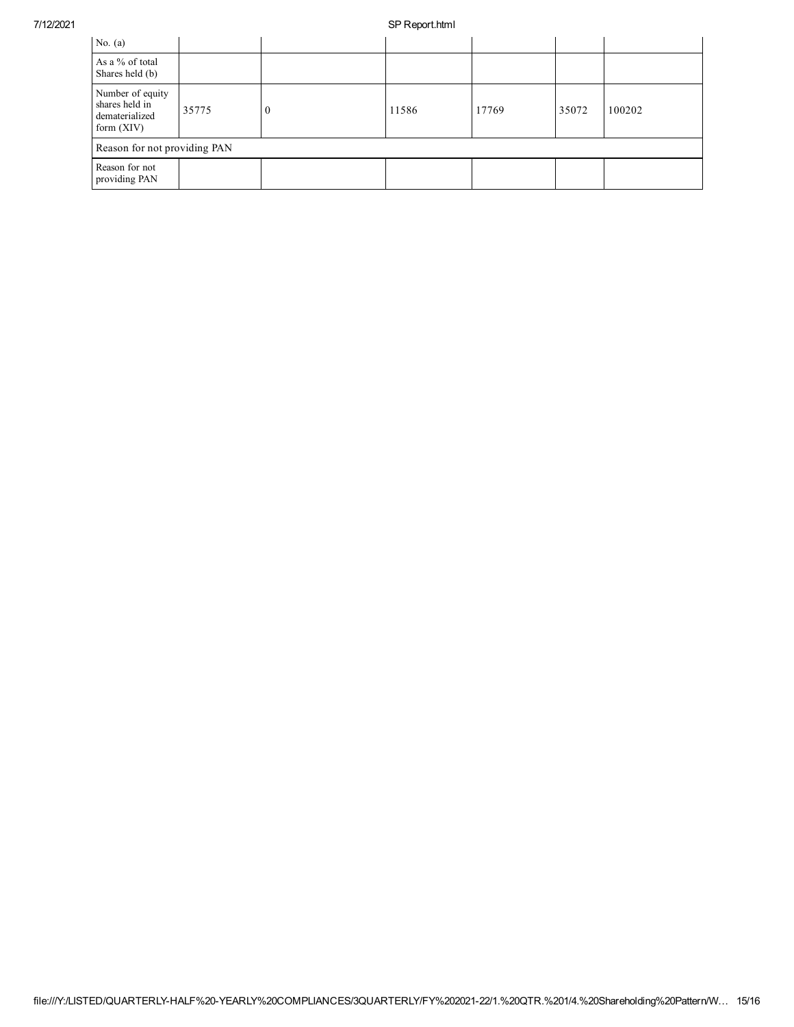## 7/12/2021 SP Report.html

| No. $(a)$                                                            |       |   |       |       |       |        |
|----------------------------------------------------------------------|-------|---|-------|-------|-------|--------|
| As a % of total<br>Shares held (b)                                   |       |   |       |       |       |        |
| Number of equity<br>shares held in<br>dematerialized<br>form $(XIV)$ | 35775 | U | 11586 | 17769 | 35072 | 100202 |
| Reason for not providing PAN                                         |       |   |       |       |       |        |
| Reason for not<br>providing PAN                                      |       |   |       |       |       |        |